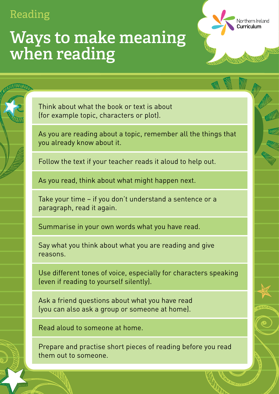### **Ways to make meaning when reading**

Think about what the book or text is about (for example topic, characters or plot).

As you are reading about a topic, remember all the things that you already know about it.

Northern Ireland

Curriculum

Follow the text if your teacher reads it aloud to help out.

As you read, think about what might happen next.

Take your time − if you don't understand a sentence or a paragraph, read it again.

Summarise in your own words what you have read.

Say what you think about what you are reading and give reasons.

Use different tones of voice, especially for characters speaking (even if reading to yourself silently).

Ask a friend questions about what you have read (you can also ask a group or someone at home).

Read aloud to someone at home.

Prepare and practise short pieces of reading before you read them out to someone.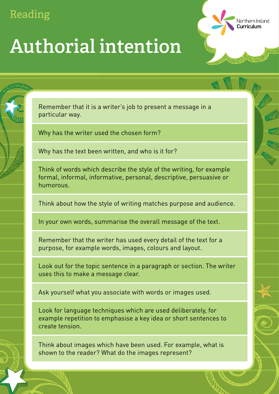**Authorial intention**

Remember that it is a writer's job to present a message in a particular way.

Northern Ireland

Curriculum

Why has the writer used the chosen form?

Why has the text been written, and who is it for?

Think of words which describe the style of the writing, for example formal, informal, informative, personal, descriptive, persuasive or humorous.

Think about how the style of writing matches purpose and audience.

In your own words, summarise the overall message of the text.

Remember that the writer has used every detail of the text for a purpose, for example words, images, colours and layout.

Look out for the topic sentence in a paragraph or section. The writer uses this to make a message clear.

Ask yourself what you associate with words or images used.

Look for language techniques which are used deliberately, for example repetition to emphasise a key idea or short sentences to create tension.

Think about images which have been used. For example, what is shown to the reader? What do the images represent?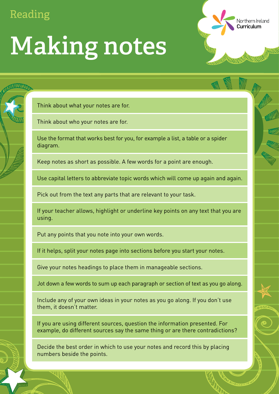Think about what your notes are for.

Think about who your notes are for.

Use the format that works best for you, for example a list, a table or a spider diagram.

Northern Ireland

Curriculum

Keep notes as short as possible. A few words for a point are enough.

Use capital letters to abbreviate topic words which will come up again and again.

Pick out from the text any parts that are relevant to your task.

If your teacher allows, highlight or underline key points on any text that you are using.

Put any points that you note into your own words.

If it helps, split your notes page into sections before you start your notes.

Give your notes headings to place them in manageable sections.

Jot down a few words to sum up each paragraph or section of text as you go along.

Include any of your own ideas in your notes as you go along. If you don't use them, it doesn't matter.

If you are using different sources, question the information presented. For example, do different sources say the same thing or are there contradictions?

Decide the best order in which to use your notes and record this by placing numbers beside the points.

# **Making notes**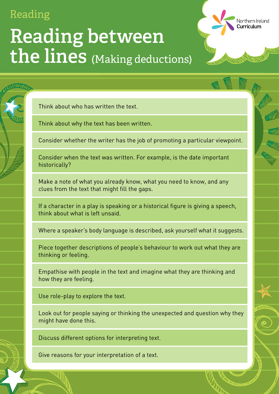Think about who has written the text.

Think about why the text has been written.

Consider whether the writer has the job of promoting a particular viewpoint.

Northern Ireland

Curriculum

Consider when the text was written. For example, is the date important historically?

Make a note of what you already know, what you need to know, and any clues from the text that might fill the gaps.

If a character in a play is speaking or a historical figure is giving a speech,

think about what is left unsaid.

Where a speaker's body language is described, ask yourself what it suggests.

Piece together descriptions of people's behaviour to work out what they are thinking or feeling.

Empathise with people in the text and imagine what they are thinking and how they are feeling.

Use role-play to explore the text.

Look out for people saying or thinking the unexpected and question why they might have done this.

Discuss different options for interpreting text.

Give reasons for your interpretation of a text.

**Reading** 

### (Making deductions) **Reading between the lines**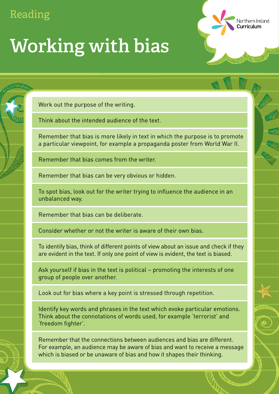# **Working with bias**

Work out the purpose of the writing.

Think about the intended audience of the text.

Remember that bias is more likely in text in which the purpose is to promote a particular viewpoint, for example a propaganda poster from World War II.

Northern Ireland

Curriculum

Remember that bias comes from the writer.

Remember that bias can be very obvious or hidden.

To spot bias, look out for the writer trying to influence the audience in an unbalanced way.

Ask yourself if bias in the text is political − promoting the interests of one group of people over another.

Remember that bias can be deliberate.

Consider whether or not the writer is aware of their own bias.

To identify bias, think of different points of view about an issue and check if they are evident in the text. If only one point of view is evident, the text is biased.

Look out for bias where a key point is stressed through repetition.

Identify key words and phrases in the text which evoke particular emotions. Think about the connotations of words used, for example 'terrorist' and 'freedom fighter'.

Remember that the connections between audiences and bias are different. For example, an audience may be aware of bias and want to receive a message which is biased or be unaware of bias and how it shapes their thinking.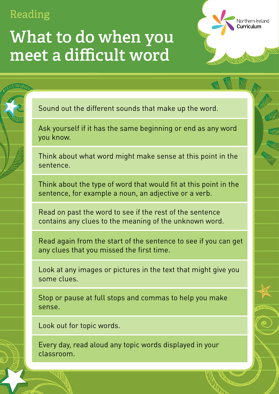## **What to do when you meet a difficult word**

Sound out the different sounds that make up the word.

Ask yourself if it has the same beginning or end as any word you know.

Northern Ireland

Curriculum

Think about what word might make sense at this point in the sentence.

Think about the type of word that would fit at this point in the sentence, for example a noun, an adjective or a verb.

Read on past the word to see if the rest of the sentence contains any clues to the meaning of the unknown word.

Read again from the start of the sentence to see if you can get any clues that you missed the first time.

Look at any images or pictures in the text that might give you some clues.

Stop or pause at full stops and commas to help you make sense.

Look out for topic words.

Every day, read aloud any topic words displayed in your classroom.